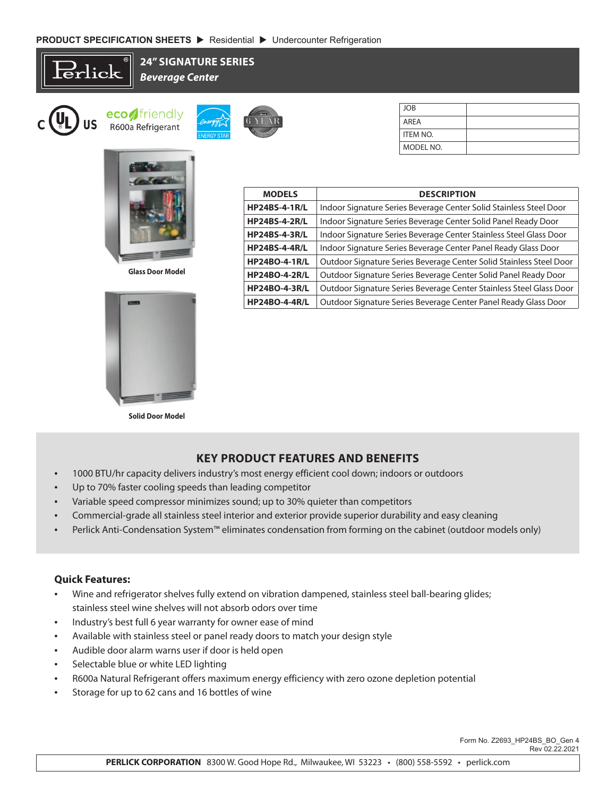Erlick

**24" SIGNATURE SERIES** *Beverage Center*







**<sup>W</sup>ARRANT<sup>Y</sup>**  $\frac{H_{\text{I}}}{H_{\text{I}}}\sqrt{2}$ **6 YEAR 6 YEAR**

**<sup>I</sup>NDUSTRY'<sup>S</sup> <sup>B</sup>ES<sup>T</sup> IY'B<sup>T</sup>**

| JOB        |  |
|------------|--|
| AREA       |  |
| I ITEM NO. |  |
| MODEL NO.  |  |

| <b>MODELS</b>        | <b>DESCRIPTION</b>                                                  |  |  |
|----------------------|---------------------------------------------------------------------|--|--|
| <b>HP24BS-4-1R/L</b> | Indoor Signature Series Beverage Center Solid Stainless Steel Door  |  |  |
| <b>HP24BS-4-2R/L</b> | Indoor Signature Series Beverage Center Solid Panel Ready Door      |  |  |
| <b>HP24BS-4-3R/L</b> | Indoor Signature Series Beverage Center Stainless Steel Glass Door  |  |  |
| <b>HP24BS-4-4R/L</b> | Indoor Signature Series Beverage Center Panel Ready Glass Door      |  |  |
| <b>HP24BO-4-1R/L</b> | Outdoor Signature Series Beverage Center Solid Stainless Steel Door |  |  |
| <b>HP24BO-4-2R/L</b> | Outdoor Signature Series Beverage Center Solid Panel Ready Door     |  |  |
| <b>HP24BO-4-3R/L</b> | Outdoor Signature Series Beverage Center Stainless Steel Glass Door |  |  |
| <b>HP24BO-4-4R/L</b> | Outdoor Signature Series Beverage Center Panel Ready Glass Door     |  |  |

**Glass Door Model**



**Solid Door Model**

## **KEY PRODUCT FEATURES AND BENEFITS**

- 1000 BTU/hr capacity delivers industry's most energy efficient cool down; indoors or outdoors
- Up to 70% faster cooling speeds than leading competitor
- Variable speed compressor minimizes sound; up to 30% quieter than competitors
- Commercial-grade all stainless steel interior and exterior provide superior durability and easy cleaning
- Perlick Anti-Condensation System™ eliminates condensation from forming on the cabinet (outdoor models only)

## **Quick Features:**

- Wine and refrigerator shelves fully extend on vibration dampened, stainless steel ball-bearing glides; stainless steel wine shelves will not absorb odors over time
- Industry's best full 6 year warranty for owner ease of mind
- Available with stainless steel or panel ready doors to match your design style
- Audible door alarm warns user if door is held open
- Selectable blue or white LED lighting
- R600a Natural Refrigerant offers maximum energy efficiency with zero ozone depletion potential
- Storage for up to 62 cans and 16 bottles of wine

 Form No. Z2693\_HP24BS\_BO\_Gen 4 Rev 02.22.2021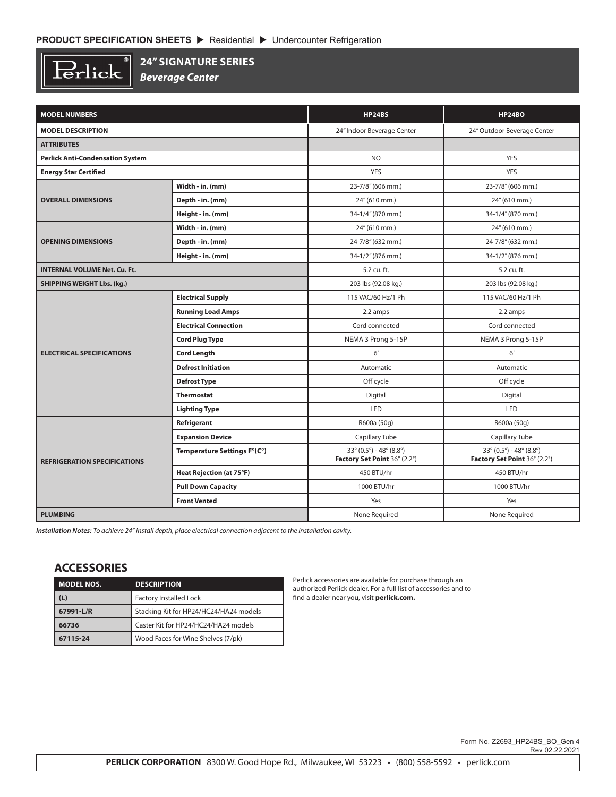$\overline{\mathbb{R}}$  $\operatorname{Perlick}$ 

## **24" SIGNATURE SERIES**

*Beverage Center*

| <b>MODEL NUMBERS</b>                    |                                 | <b>HP24BS</b>                                                    | <b>HP24BO</b>                                                    |  |
|-----------------------------------------|---------------------------------|------------------------------------------------------------------|------------------------------------------------------------------|--|
| <b>MODEL DESCRIPTION</b>                |                                 | 24" Indoor Beverage Center                                       | 24" Outdoor Beverage Center                                      |  |
| <b>ATTRIBUTES</b>                       |                                 |                                                                  |                                                                  |  |
| <b>Perlick Anti-Condensation System</b> |                                 | <b>NO</b>                                                        | <b>YES</b>                                                       |  |
| <b>Energy Star Certified</b>            |                                 | YES                                                              | <b>YES</b>                                                       |  |
|                                         | Width - in. (mm)                | 23-7/8" (606 mm.)                                                | 23-7/8" (606 mm.)                                                |  |
| <b>OVERALL DIMENSIONS</b>               | Depth - in. (mm)                | 24" (610 mm.)                                                    | 24" (610 mm.)                                                    |  |
|                                         | Height - in. (mm)               | 34-1/4" (870 mm.)                                                | 34-1/4" (870 mm.)                                                |  |
|                                         | Width - in. (mm)                | 24" (610 mm.)                                                    | 24" (610 mm.)                                                    |  |
| <b>OPENING DIMENSIONS</b>               | Depth - in. (mm)                | 24-7/8" (632 mm.)                                                | 24-7/8" (632 mm.)                                                |  |
|                                         | Height - in. (mm)               | 34-1/2" (876 mm.)                                                | 34-1/2" (876 mm.)                                                |  |
| <b>INTERNAL VOLUME Net. Cu. Ft.</b>     |                                 | 5.2 cu. ft.                                                      | 5.2 cu. ft.                                                      |  |
| <b>SHIPPING WEIGHT Lbs. (kg.)</b>       |                                 | 203 lbs (92.08 kg.)                                              | 203 lbs (92.08 kg.)                                              |  |
|                                         | <b>Electrical Supply</b>        | 115 VAC/60 Hz/1 Ph                                               | 115 VAC/60 Hz/1 Ph                                               |  |
| <b>ELECTRICAL SPECIFICATIONS</b>        | <b>Running Load Amps</b>        | 2.2 amps                                                         | 2.2 amps                                                         |  |
|                                         | <b>Electrical Connection</b>    | Cord connected                                                   | Cord connected                                                   |  |
|                                         | <b>Cord Plug Type</b>           | NEMA 3 Prong 5-15P                                               | NEMA 3 Prong 5-15P                                               |  |
|                                         | <b>Cord Length</b>              | 6'                                                               | 6'                                                               |  |
|                                         | <b>Defrost Initiation</b>       | Automatic                                                        | Automatic                                                        |  |
|                                         | <b>Defrost Type</b>             | Off cycle                                                        | Off cycle                                                        |  |
|                                         | <b>Thermostat</b>               | Digital                                                          | Digital                                                          |  |
|                                         | <b>Lighting Type</b>            | <b>LED</b>                                                       | <b>LED</b>                                                       |  |
|                                         | Refrigerant                     | R600a (50g)                                                      | R600a (50g)                                                      |  |
|                                         | <b>Expansion Device</b>         | Capillary Tube                                                   | Capillary Tube                                                   |  |
| <b>REFRIGERATION SPECIFICATIONS</b>     | Temperature Settings F°(C°)     | $33^{\circ}$ (0.5°) - 48° (8.8°)<br>Factory Set Point 36° (2.2°) | $33^{\circ}$ (0.5°) - 48° (8.8°)<br>Factory Set Point 36° (2.2°) |  |
|                                         | <b>Heat Rejection (at 75°F)</b> | 450 BTU/hr                                                       | 450 BTU/hr                                                       |  |
|                                         | <b>Pull Down Capacity</b>       | 1000 BTU/hr                                                      | 1000 BTU/hr                                                      |  |
|                                         | <b>Front Vented</b>             | Yes                                                              | Yes                                                              |  |
| <b>PLUMBING</b>                         |                                 | None Required                                                    | None Required                                                    |  |

*Installation Notes: To achieve 24" install depth, place electrical connection adjacent to the installation cavity.*

## **ACCESSORIES**

| <b>MODEL NOS.</b> | <b>DESCRIPTION</b>                     |  |
|-------------------|----------------------------------------|--|
| (L)               | <b>Factory Installed Lock</b>          |  |
| 67991-L/R         | Stacking Kit for HP24/HC24/HA24 models |  |
| 66736             | Caster Kit for HP24/HC24/HA24 models   |  |
| 67115-24          | Wood Faces for Wine Shelves (7/pk)     |  |

Perlick accessories are available for purchase through an authorized Perlick dealer. For a full list of accessories and to find a dealer near you, visit **perlick.com.**

Form No. Z2693\_HP24BS\_BO\_Gen 4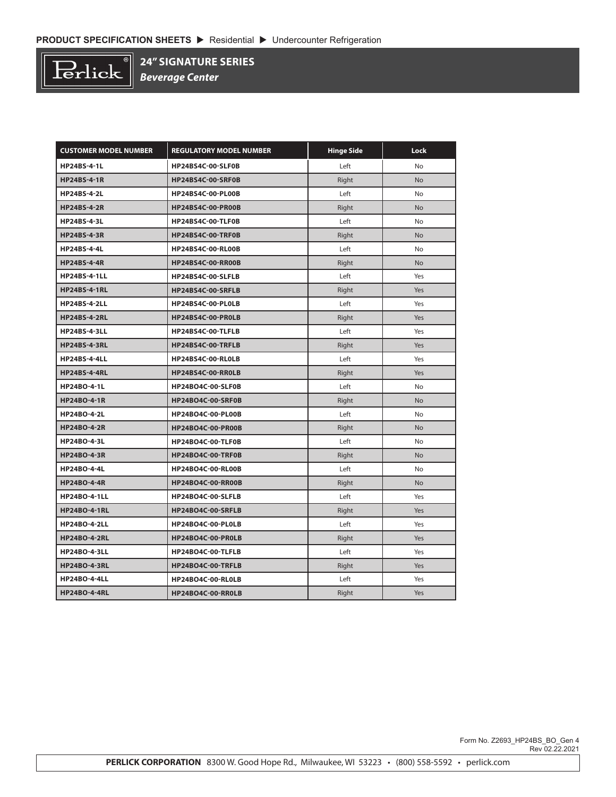

**24" SIGNATURE SERIES**

*Beverage Center*

| <b>CUSTOMER MODEL NUMBER</b> | <b>REGULATORY MODEL NUMBER</b> | <b>Hinge Side</b> | Lock      |
|------------------------------|--------------------------------|-------------------|-----------|
| <b>HP24BS-4-1L</b>           | HP24BS4C-00-SLF0B              | Left              | <b>No</b> |
| <b>HP24BS-4-1R</b>           | HP24BS4C-00-SRF0B              | Right             | <b>No</b> |
| <b>HP24BS-4-2L</b>           | <b>HP24BS4C-00-PL00B</b>       | Left              | No        |
| <b>HP24BS-4-2R</b>           | <b>HP24BS4C-00-PR00B</b>       | Right             | <b>No</b> |
| <b>HP24BS-4-3L</b>           | HP24BS4C-00-TLF0B              | Left              | No        |
| <b>HP24BS-4-3R</b>           | HP24BS4C-00-TRF0B              | Right             | No        |
| <b>HP24BS-4-4L</b>           | <b>HP24BS4C-00-RL00B</b>       | Left              | <b>No</b> |
| <b>HP24BS-4-4R</b>           | <b>HP24BS4C-00-RR00B</b>       | Right             | <b>No</b> |
| <b>HP24BS-4-1LL</b>          | HP24BS4C-00-SLFLB              | Left              | Yes       |
| <b>HP24BS-4-1RL</b>          | HP24BS4C-00-SRFLB              | Right             | Yes       |
| <b>HP24BS-4-2LL</b>          | HP24BS4C-00-PL0LB              | Left              | Yes       |
| <b>HP24BS-4-2RL</b>          | HP24BS4C-00-PR0LB              | Right             | Yes       |
| <b>HP24BS-4-3LL</b>          | HP24BS4C-00-TLFLB              | Left              | Yes       |
| <b>HP24BS-4-3RL</b>          | HP24BS4C-00-TRFLB              | Right             | Yes       |
| <b>HP24BS-4-4LL</b>          | HP24BS4C-00-RL0LB              | Left              | Yes       |
| <b>HP24BS-4-4RL</b>          | HP24BS4C-00-RR0LB              | Right             | Yes       |
| <b>HP24BO-4-1L</b>           | HP24BO4C-00-SLF0B              | Left              | No        |
| <b>HP24BO-4-1R</b>           | HP24BO4C-00-SRF0B              | Right             | <b>No</b> |
| <b>HP24BO-4-2L</b>           | HP24BO4C-00-PL00B              | Left              | No        |
| <b>HP24BO-4-2R</b>           | HP24BO4C-00-PR00B              | Right             | <b>No</b> |
| <b>HP24BO-4-3L</b>           | HP24BO4C-00-TLF0B              | Left              | No        |
| <b>HP24BO-4-3R</b>           | HP24BO4C-00-TRF0B              | Right             | <b>No</b> |
| <b>HP24BO-4-4L</b>           | <b>HP24BO4C-00-RL00B</b>       | Left              | <b>No</b> |
| <b>HP24BO-4-4R</b>           | <b>HP24BO4C-00-RR00B</b>       | Right             | <b>No</b> |
| <b>HP24BO-4-1LL</b>          | HP24BO4C-00-SLFLB              | Left              | Yes       |
| <b>HP24BO-4-1RL</b>          | HP24BO4C-00-SRFLB              | Right             | Yes       |
| <b>HP24BO-4-2LL</b>          | HP24BO4C-00-PL0LB              | Left              | Yes       |
| <b>HP24BO-4-2RL</b>          | HP24BO4C-00-PR0LB              | Right             | Yes       |
| <b>HP24BO-4-3LL</b>          | HP24BO4C-00-TLFLB              | Left              | Yes       |
| <b>HP24BO-4-3RL</b>          | HP24BO4C-00-TRFLB              | Right             | Yes       |
| <b>HP24BO-4-4LL</b>          | HP24BO4C-00-RL0LB              | Left              | Yes       |
| <b>HP24BO-4-4RL</b>          | HP24BO4C-00-RR0LB              | Right             | Yes       |

 Form No. Z2693\_HP24BS\_BO\_Gen 4 Rev 02.22.2021